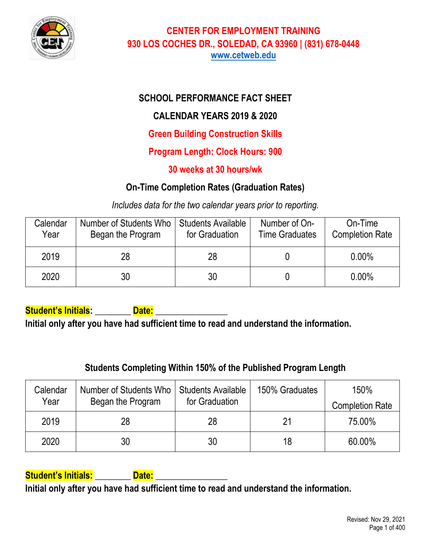

## **SCHOOL PERFORMANCE FACT SHEET**

## **CALENDAR YEARS 2019 & 2020**

**Green Building Construction Skills**

**Program Length: Clock Hours: 900**

### **30 weeks at 30 hours/wk**

## **On-Time Completion Rates (Graduation Rates)**

*Includes data for the two calendar years prior to reporting.*

| Calendar<br>Year | Number of Students Who<br>Began the Program | <b>Students Available</b><br>for Graduation | Number of On-<br><b>Time Graduates</b> | On-Time<br><b>Completion Rate</b> |
|------------------|---------------------------------------------|---------------------------------------------|----------------------------------------|-----------------------------------|
| 2019             | 28                                          | 28                                          |                                        | $0.00\%$                          |
| 2020             | 30                                          | 30                                          |                                        | $0.00\%$                          |

Student's Initials: **Date:** 

**Initial only after you have had sufficient time to read and understand the information.** 

# **Students Completing Within 150% of the Published Program Length**

| Calendar | Number of Students Who | <b>Students Available</b> | 150% Graduates | 150%                   |
|----------|------------------------|---------------------------|----------------|------------------------|
| Year     | Began the Program      | for Graduation            |                | <b>Completion Rate</b> |
| 2019     | 28                     | 28                        | 21             | 75.00%                 |
| 2020     | 30                     | 30                        | 18             | 60.00%                 |

### **Student's Initials: \_\_\_\_\_\_\_\_ Date: \_\_\_\_\_\_\_\_\_\_\_\_\_\_\_\_**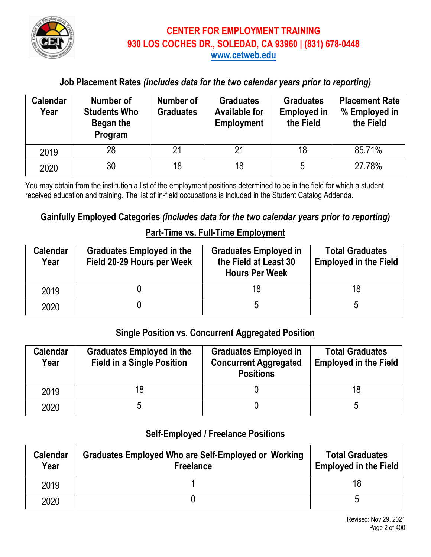

### **Job Placement Rates** *(includes data for the two calendar years prior to reporting)*

| <b>Calendar</b><br>Year | Number of<br><b>Students Who</b><br>Began the<br>Program | Number of<br><b>Graduates</b> | <b>Graduates</b><br><b>Available for</b><br><b>Employment</b> | <b>Graduates</b><br><b>Employed in</b><br>the Field | <b>Placement Rate</b><br>% Employed in<br>the Field |
|-------------------------|----------------------------------------------------------|-------------------------------|---------------------------------------------------------------|-----------------------------------------------------|-----------------------------------------------------|
| 2019                    | 28                                                       | 21                            | 21                                                            | 18                                                  | 85.71%                                              |
| 2020                    | 30                                                       | 18                            | 18                                                            | 5                                                   | 27.78%                                              |

You may obtain from the institution a list of the employment positions determined to be in the field for which a student received education and training. The list of in-field occupations is included in the Student Catalog Addenda.

### **Gainfully Employed Categories** *(includes data for the two calendar years prior to reporting)*

#### **Part-Time vs. Full-Time Employment**

| <b>Calendar</b><br>Year | <b>Graduates Employed in the</b><br>Field 20-29 Hours per Week | <b>Graduates Employed in</b><br>the Field at Least 30<br><b>Hours Per Week</b> | <b>Total Graduates</b><br><b>Employed in the Field</b> |
|-------------------------|----------------------------------------------------------------|--------------------------------------------------------------------------------|--------------------------------------------------------|
| 2019                    |                                                                |                                                                                | 18                                                     |
| 2020                    |                                                                |                                                                                |                                                        |

### **Single Position vs. Concurrent Aggregated Position**

| <b>Calendar</b><br>Year | <b>Graduates Employed in the</b><br><b>Field in a Single Position</b> | <b>Graduates Employed in</b><br><b>Concurrent Aggregated</b><br><b>Positions</b> | <b>Total Graduates</b><br><b>Employed in the Field</b> |
|-------------------------|-----------------------------------------------------------------------|----------------------------------------------------------------------------------|--------------------------------------------------------|
| 2019                    | 18                                                                    |                                                                                  |                                                        |
| 2020                    |                                                                       |                                                                                  |                                                        |

#### **Self-Employed / Freelance Positions**

| <b>Calendar</b><br>Year | Graduates Employed Who are Self-Employed or Working<br><b>Freelance</b> | <b>Total Graduates</b><br><b>Employed in the Field</b> |
|-------------------------|-------------------------------------------------------------------------|--------------------------------------------------------|
| 2019                    |                                                                         |                                                        |
| 2020                    |                                                                         |                                                        |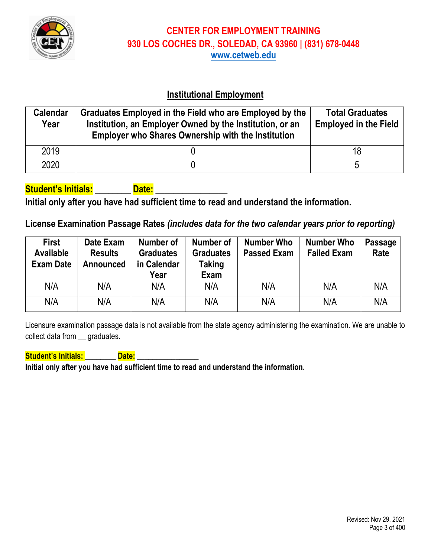

### **Institutional Employment**

| <b>Calendar</b><br>Year | Graduates Employed in the Field who are Employed by the<br>Institution, an Employer Owned by the Institution, or an<br><b>Employer who Shares Ownership with the Institution</b> | <b>Total Graduates</b><br><b>Employed in the Field</b> |
|-------------------------|----------------------------------------------------------------------------------------------------------------------------------------------------------------------------------|--------------------------------------------------------|
| 2019                    |                                                                                                                                                                                  | 18                                                     |
| 2020                    |                                                                                                                                                                                  | n                                                      |

### **Student's Initials: \_\_\_\_\_\_\_\_ Date: \_\_\_\_\_\_\_\_\_\_\_\_\_\_\_\_**

**Initial only after you have had sufficient time to read and understand the information.**

### **License Examination Passage Rates** *(includes data for the two calendar years prior to reporting)*

| <b>First</b><br><b>Available</b><br><b>Exam Date</b> | Date Exam<br><b>Results</b><br>Announced | Number of<br><b>Graduates</b><br>in Calendar<br>Year | Number of<br><b>Graduates</b><br>Taking<br>Exam | Number Who<br><b>Passed Exam</b> | <b>Number Who</b><br><b>Failed Exam</b> | <b>Passage</b><br>Rate |
|------------------------------------------------------|------------------------------------------|------------------------------------------------------|-------------------------------------------------|----------------------------------|-----------------------------------------|------------------------|
| N/A                                                  | N/A                                      | N/A                                                  | N/A                                             | N/A                              | N/A                                     | N/A                    |
| N/A                                                  | N/A                                      | N/A                                                  | N/A                                             | N/A                              | N/A                                     | N/A                    |

Licensure examination passage data is not available from the state agency administering the examination. We are unable to collect data from \_\_ graduates.

**Student's Initials: \_\_\_\_\_\_\_\_ Date: \_\_\_\_\_\_\_\_\_\_\_\_\_\_\_\_**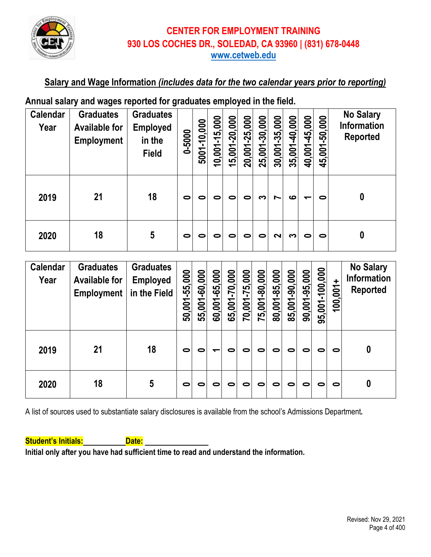

### **Salary and Wage Information** *(includes data for the two calendar years prior to reporting)*

## **Annual salary and wages reported for graduates employed in the field.**

| <b>Calendar</b><br>Year | <b>Graduates</b><br><b>Available for</b><br><b>Employment</b> | <b>Graduates</b><br><b>Employed</b><br>in the<br><b>Field</b> | 0-5000    | 5001-10,000 | 10,001-15,000 | 15,001-20,000 | 20,001-25,000 | 25,001-30,000 | 30,001-35,000 | 35,001-40,000 | 40,001-45,000            | 45,001-50,000 | <b>No Salary</b><br><b>Information</b><br><b>Reported</b> |
|-------------------------|---------------------------------------------------------------|---------------------------------------------------------------|-----------|-------------|---------------|---------------|---------------|---------------|---------------|---------------|--------------------------|---------------|-----------------------------------------------------------|
| 2019                    | 21                                                            | 18                                                            | $\bullet$ | 0           | 0             | 0             | 0             | ຕ             | Ľ             | ဖ             | $\overline{\phantom{0}}$ | 0             | 0                                                         |
| 2020                    | 18                                                            | $5\phantom{.0}$                                               | $\bullet$ | 0           | 0             | 0             | 0             | 0             | $\sim$        | ຕ             | 0                        | 0             | 0                                                         |

| <b>Calendar</b><br>Year | <b>Graduates</b><br><b>Available for</b><br><b>Employment</b> | <b>Graduates</b><br><b>Employed</b><br>in the Field | 50,001-55,000 | 55,001-60,000 | 60,001-65,000 | 65,001-70,000 | 70,001-75,000 | <u>75,001-80,000</u> | 80,001-85,000 | 85,001-90,000 | 90,001-95,000 | 95,001-100,000 | $100,001+$ | <b>No Salary</b><br><b>Information</b><br><b>Reported</b> |
|-------------------------|---------------------------------------------------------------|-----------------------------------------------------|---------------|---------------|---------------|---------------|---------------|----------------------|---------------|---------------|---------------|----------------|------------|-----------------------------------------------------------|
| 2019                    | 21                                                            | 18                                                  | $\bullet$     | 0             | ↽             | 0             | 0             | 0                    | 0             | 0             | 0             | 0              | $\bullet$  | 0                                                         |
| 2020                    | 18                                                            | 5                                                   | $\bullet$     | 0             | 0             | 0             | 0             | 0                    | 0             | 0             | 0             | 0              | 0          | 0                                                         |

A list of sources used to substantiate salary disclosures is available from the school's Admissions Department*.* 

**Student's Initials: Date: Date:**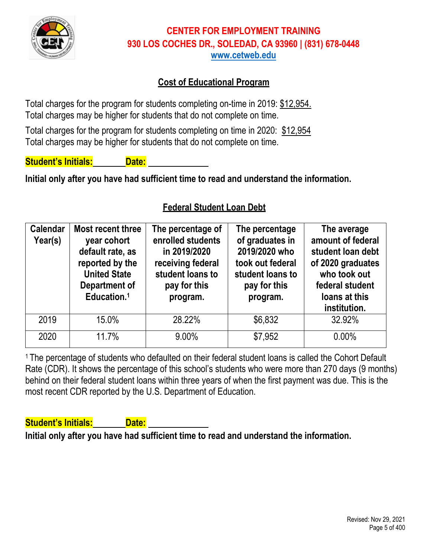

### **Cost of Educational Program**

Total charges for the program for students completing on-time in 2019: \$12,954. Total charges may be higher for students that do not complete on time.

Total charges for the program for students completing on time in 2020: \$12,954 Total charges may be higher for students that do not complete on time.

**Student's Initials: Date:**

**Initial only after you have had sufficient time to read and understand the information.**

### **Federal Student Loan Debt**

| <b>Calendar</b><br>Year(s) | Most recent three<br>year cohort<br>default rate, as<br>reported by the<br><b>United State</b><br>Department of<br>Education. <sup>1</sup> | The percentage of<br>enrolled students<br>in 2019/2020<br>receiving federal<br>student loans to<br>pay for this<br>program. | The percentage<br>of graduates in<br>2019/2020 who<br>took out federal<br>student loans to<br>pay for this<br>program. | The average<br>amount of federal<br>student loan debt<br>of 2020 graduates<br>who took out<br>federal student<br>loans at this<br>institution. |
|----------------------------|--------------------------------------------------------------------------------------------------------------------------------------------|-----------------------------------------------------------------------------------------------------------------------------|------------------------------------------------------------------------------------------------------------------------|------------------------------------------------------------------------------------------------------------------------------------------------|
| 2019                       | 15.0%                                                                                                                                      | 28.22%                                                                                                                      | \$6,832                                                                                                                | 32.92%                                                                                                                                         |
| 2020                       | 11.7%                                                                                                                                      | $9.00\%$                                                                                                                    | \$7,952                                                                                                                | 0.00%                                                                                                                                          |

<sup>1</sup> The percentage of students who defaulted on their federal student loans is called the Cohort Default Rate (CDR). It shows the percentage of this school's students who were more than 270 days (9 months) behind on their federal student loans within three years of when the first payment was due. This is the most recent CDR reported by the U.S. Department of Education.

**Student's Initials: Date:**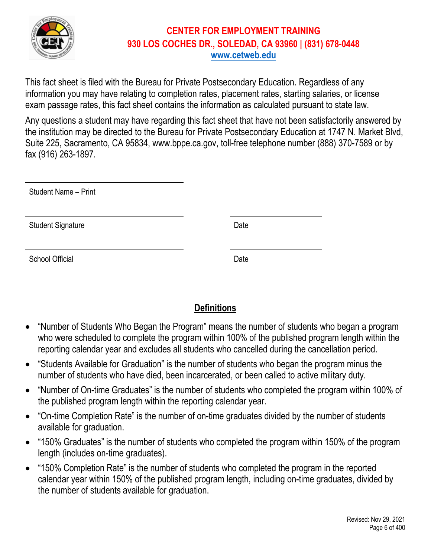

This fact sheet is filed with the Bureau for Private Postsecondary Education. Regardless of any information you may have relating to completion rates, placement rates, starting salaries, or license exam passage rates, this fact sheet contains the information as calculated pursuant to state law.

Any questions a student may have regarding this fact sheet that have not been satisfactorily answered by the institution may be directed to the Bureau for Private Postsecondary Education at 1747 N. Market Blvd, Suite 225, Sacramento, CA 95834, www.bppe.ca.gov, toll-free telephone number (888) 370-7589 or by fax (916) 263-1897.

| <b>Student Name - Print</b> |      |
|-----------------------------|------|
| <b>Student Signature</b>    | Date |
| School Official             | Date |

## **Definitions**

- "Number of Students Who Began the Program" means the number of students who began a program who were scheduled to complete the program within 100% of the published program length within the reporting calendar year and excludes all students who cancelled during the cancellation period.
- "Students Available for Graduation" is the number of students who began the program minus the number of students who have died, been incarcerated, or been called to active military duty.
- "Number of On-time Graduates" is the number of students who completed the program within 100% of the published program length within the reporting calendar year.
- "On-time Completion Rate" is the number of on-time graduates divided by the number of students available for graduation.
- "150% Graduates" is the number of students who completed the program within 150% of the program length (includes on-time graduates).
- "150% Completion Rate" is the number of students who completed the program in the reported calendar year within 150% of the published program length, including on-time graduates, divided by the number of students available for graduation.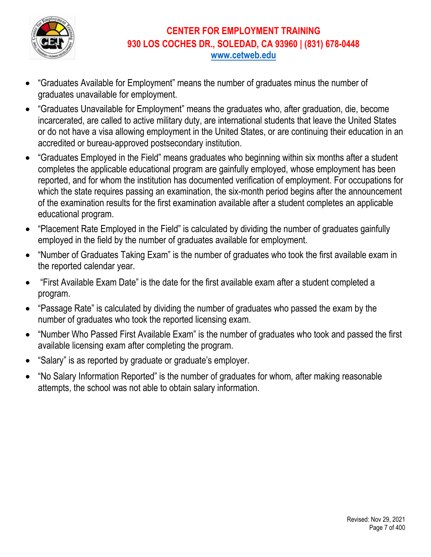

- "Graduates Available for Employment" means the number of graduates minus the number of graduates unavailable for employment.
- "Graduates Unavailable for Employment" means the graduates who, after graduation, die, become incarcerated, are called to active military duty, are international students that leave the United States or do not have a visa allowing employment in the United States, or are continuing their education in an accredited or bureau-approved postsecondary institution.
- "Graduates Employed in the Field" means graduates who beginning within six months after a student completes the applicable educational program are gainfully employed, whose employment has been reported, and for whom the institution has documented verification of employment. For occupations for which the state requires passing an examination, the six-month period begins after the announcement of the examination results for the first examination available after a student completes an applicable educational program.
- "Placement Rate Employed in the Field" is calculated by dividing the number of graduates gainfully employed in the field by the number of graduates available for employment.
- "Number of Graduates Taking Exam" is the number of graduates who took the first available exam in the reported calendar year.
- "First Available Exam Date" is the date for the first available exam after a student completed a program.
- "Passage Rate" is calculated by dividing the number of graduates who passed the exam by the number of graduates who took the reported licensing exam.
- "Number Who Passed First Available Exam" is the number of graduates who took and passed the first available licensing exam after completing the program.
- "Salary" is as reported by graduate or graduate's employer.
- "No Salary Information Reported" is the number of graduates for whom, after making reasonable attempts, the school was not able to obtain salary information.